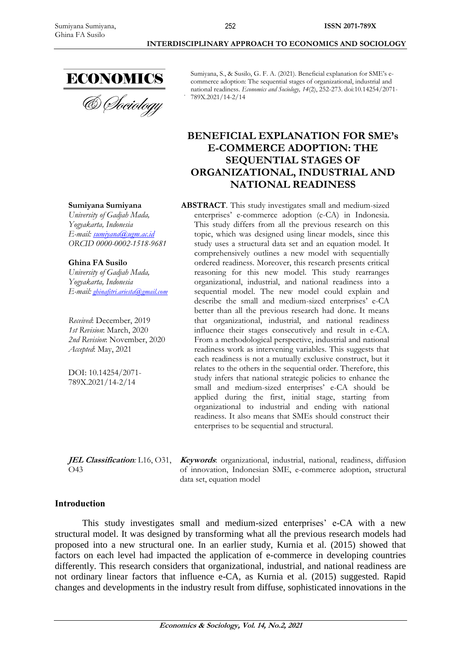& Sociology

Sumiyana, S., & Susilo, G. F. A. (2021). Beneficial explanation for SME's ecommerce adoption: The sequential stages of organizational, industrial and national readiness. *Economics and Sociology, 14*(2), 252-273. doi:10.14254/2071- 789X.2021/14-2/14

**INTERDISCIPLINARY APPROACH TO ECONOMICS AND SOCIOLOGY**

**ISSN 2071-789X**

# **BENEFICIAL EXPLANATION FOR SME's E-COMMERCE ADOPTION: THE SEQUENTIAL STAGES OF ORGANIZATIONAL, INDUSTRIAL AND NATIONAL READINESS**

**ABSTRACT**. This study investigates small and medium-sized enterprises' e-commerce adoption (e-CA) in Indonesia. This study differs from all the previous research on this topic, which was designed using linear models, since this study uses a structural data set and an equation model. It comprehensively outlines a new model with sequentially ordered readiness. Moreover, this research presents critical reasoning for this new model. This study rearranges organizational, industrial, and national readiness into a sequential model. The new model could explain and describe the small and medium-sized enterprises' e-CA better than all the previous research had done. It means that organizational, industrial, and national readiness influence their stages consecutively and result in e-CA. From a methodological perspective, industrial and national readiness work as intervening variables. This suggests that each readiness is not a mutually exclusive construct, but it relates to the others in the sequential order. Therefore, this study infers that national strategic policies to enhance the small and medium-sized enterprises' e-CA should be applied during the first, initial stage, starting from organizational to industrial and ending with national readiness. It also means that SMEs should construct their enterprises to be sequential and structural.

O43

**JEL Classification***:* L16, O31, **Keywords**: organizational, industrial, national, readiness, diffusion of innovation, Indonesian SME, e-commerce adoption, structural data set, equation model

# **Introduction**

This study investigates small and medium-sized enterprises' e-CA with a new structural model. It was designed by transforming what all the previous research models had proposed into a new structural one. In an earlier study, Kurnia et al. (2015) showed that factors on each level had impacted the application of e-commerce in developing countries differently. This research considers that organizational, industrial, and national readiness are not ordinary linear factors that influence e-CA, as Kurnia et al. (2015) suggested. Rapid changes and developments in the industry result from diffuse, sophisticated innovations in the

252

# **Sumiyana Sumiyana**

*University of Gadjah Mada, Yogyakarta, Indonesia E-mail: [sumiyana@ugm.ac.id](mailto:sumiyana@ugm.ac.id) ORCID 0000-0002-1518-9681*

**Ghina FA Susilo**

*University of Gadjah Mada, Yogyakarta, Indonesia E-mail: [ghinafitri.ariesta@gmail.com](mailto:ghinafitri.ariesta@gmail.com)*

*Received*: December, 2019 *1st Revision*: March, 2020 *2nd Revision*: November, 2020 *Accepted*: May, 2021

DOI: 10.14254/2071- 789X.2021/14-2/14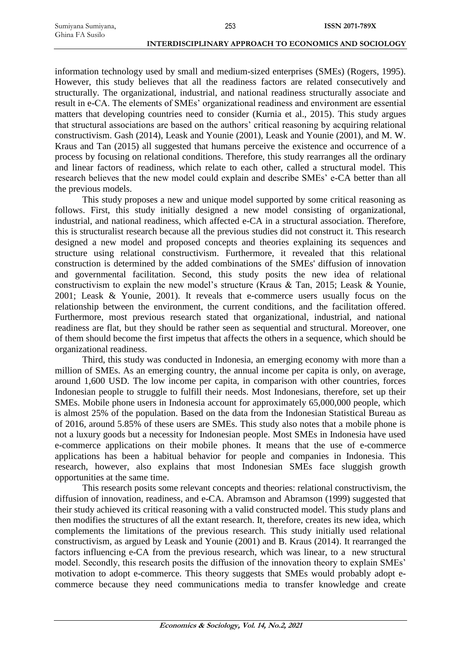information technology used by small and medium-sized enterprises (SMEs) (Rogers, 1995). However, this study believes that all the readiness factors are related consecutively and structurally. The organizational, industrial, and national readiness structurally associate and result in e-CA. The elements of SMEs' organizational readiness and environment are essential matters that developing countries need to consider (Kurnia et al., 2015). This study argues that structural associations are based on the authors' critical reasoning by acquiring relational constructivism. Gash (2014), Leask and Younie (2001), Leask and Younie (2001), and M. W. Kraus and Tan (2015) all suggested that humans perceive the existence and occurrence of a process by focusing on relational conditions. Therefore, this study rearranges all the ordinary and linear factors of readiness, which relate to each other, called a structural model. This research believes that the new model could explain and describe SMEs' e-CA better than all the previous models.

253

This study proposes a new and unique model supported by some critical reasoning as follows. First, this study initially designed a new model consisting of organizational, industrial, and national readiness, which affected e-CA in a structural association. Therefore, this is structuralist research because all the previous studies did not construct it. This research designed a new model and proposed concepts and theories explaining its sequences and structure using relational constructivism. Furthermore, it revealed that this relational construction is determined by the added combinations of the SMEs' diffusion of innovation and governmental facilitation. Second, this study posits the new idea of relational constructivism to explain the new model's structure (Kraus & Tan, 2015; Leask & Younie, 2001; Leask & Younie, 2001). It reveals that e-commerce users usually focus on the relationship between the environment, the current conditions, and the facilitation offered. Furthermore, most previous research stated that organizational, industrial, and national readiness are flat, but they should be rather seen as sequential and structural. Moreover, one of them should become the first impetus that affects the others in a sequence, which should be organizational readiness.

Third, this study was conducted in Indonesia, an emerging economy with more than a million of SMEs. As an emerging country, the annual income per capita is only, on average, around 1,600 USD. The low income per capita, in comparison with other countries, forces Indonesian people to struggle to fulfill their needs. Most Indonesians, therefore, set up their SMEs. Mobile phone users in Indonesia account for approximately 65,000,000 people, which is almost 25% of the population. Based on the data from the Indonesian Statistical Bureau as of 2016, around 5.85% of these users are SMEs. This study also notes that a mobile phone is not a luxury goods but a necessity for Indonesian people. Most SMEs in Indonesia have used e-commerce applications on their mobile phones. It means that the use of e-commerce applications has been a habitual behavior for people and companies in Indonesia. This research, however, also explains that most Indonesian SMEs face sluggish growth opportunities at the same time.

This research posits some relevant concepts and theories: relational constructivism, the diffusion of innovation, readiness, and e-CA. Abramson and Abramson (1999) suggested that their study achieved its critical reasoning with a valid constructed model. This study plans and then modifies the structures of all the extant research. It, therefore, creates its new idea, which complements the limitations of the previous research. This study initially used relational constructivism, as argued by Leask and Younie (2001) and B. Kraus (2014). It rearranged the factors influencing e-CA from the previous research, which was linear, to a new structural model. Secondly, this research posits the diffusion of the innovation theory to explain SMEs' motivation to adopt e-commerce. This theory suggests that SMEs would probably adopt ecommerce because they need communications media to transfer knowledge and create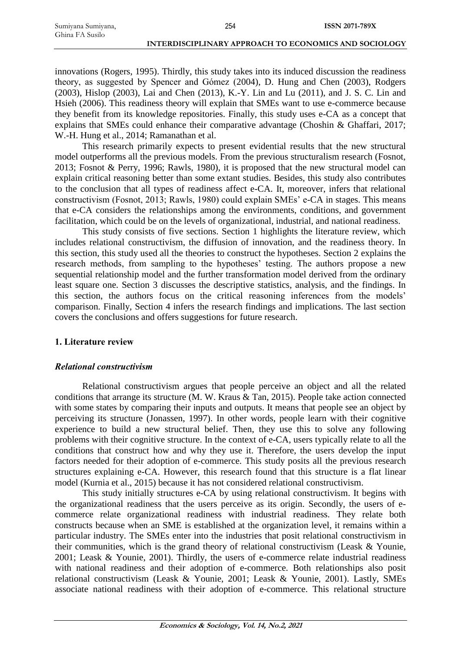innovations (Rogers, 1995). Thirdly, this study takes into its induced discussion the readiness theory, as suggested by Spencer and Gómez (2004), D. Hung and Chen (2003), Rodgers (2003), Hislop (2003), Lai and Chen (2013), K.-Y. Lin and Lu (2011), and J. S. C. Lin and Hsieh (2006). This readiness theory will explain that SMEs want to use e-commerce because they benefit from its knowledge repositories. Finally, this study uses e-CA as a concept that explains that SMEs could enhance their comparative advantage (Choshin & Ghaffari, 2017; W.-H. Hung et al., 2014; Ramanathan et al.

This research primarily expects to present evidential results that the new structural model outperforms all the previous models. From the previous structuralism research (Fosnot, 2013; Fosnot & Perry, 1996; Rawls, 1980), it is proposed that the new structural model can explain critical reasoning better than some extant studies. Besides, this study also contributes to the conclusion that all types of readiness affect e-CA. It, moreover, infers that relational constructivism (Fosnot, 2013; Rawls, 1980) could explain SMEs' e-CA in stages. This means that e-CA considers the relationships among the environments, conditions, and government facilitation, which could be on the levels of organizational, industrial, and national readiness.

This study consists of five sections. Section 1 highlights the literature review, which includes relational constructivism, the diffusion of innovation, and the readiness theory. In this section, this study used all the theories to construct the hypotheses. Section 2 explains the research methods, from sampling to the hypotheses' testing. The authors propose a new sequential relationship model and the further transformation model derived from the ordinary least square one. Section 3 discusses the descriptive statistics, analysis, and the findings. In this section, the authors focus on the critical reasoning inferences from the models' comparison. Finally, Section 4 infers the research findings and implications. The last section covers the conclusions and offers suggestions for future research.

# **1. Literature review**

# *Relational constructivism*

Relational constructivism argues that people perceive an object and all the related conditions that arrange its structure (M. W. Kraus & Tan, 2015). People take action connected with some states by comparing their inputs and outputs. It means that people see an object by perceiving its structure (Jonassen, 1997). In other words, people learn with their cognitive experience to build a new structural belief. Then, they use this to solve any following problems with their cognitive structure. In the context of e-CA, users typically relate to all the conditions that construct how and why they use it. Therefore, the users develop the input factors needed for their adoption of e-commerce. This study posits all the previous research structures explaining e-CA. However, this research found that this structure is a flat linear model (Kurnia et al., 2015) because it has not considered relational constructivism.

This study initially structures e-CA by using relational constructivism. It begins with the organizational readiness that the users perceive as its origin. Secondly, the users of ecommerce relate organizational readiness with industrial readiness. They relate both constructs because when an SME is established at the organization level, it remains within a particular industry. The SMEs enter into the industries that posit relational constructivism in their communities, which is the grand theory of relational constructivism (Leask & Younie, 2001; Leask & Younie, 2001). Thirdly, the users of e-commerce relate industrial readiness with national readiness and their adoption of e-commerce. Both relationships also posit relational constructivism (Leask & Younie, 2001; Leask & Younie, 2001). Lastly, SMEs associate national readiness with their adoption of e-commerce. This relational structure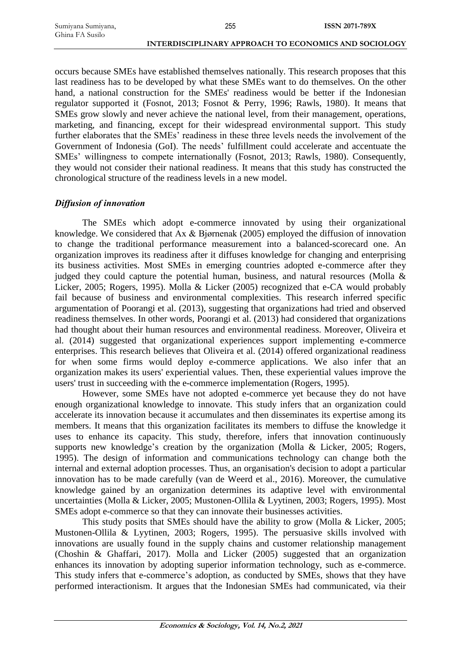occurs because SMEs have established themselves nationally. This research proposes that this last readiness has to be developed by what these SMEs want to do themselves. On the other hand, a national construction for the SMEs' readiness would be better if the Indonesian regulator supported it (Fosnot, 2013; Fosnot & Perry, 1996; Rawls, 1980). It means that SMEs grow slowly and never achieve the national level, from their management, operations, marketing, and financing, except for their widespread environmental support. This study further elaborates that the SMEs' readiness in these three levels needs the involvement of the Government of Indonesia (GoI). The needs' fulfillment could accelerate and accentuate the SMEs' willingness to compete internationally (Fosnot, 2013; Rawls, 1980). Consequently, they would not consider their national readiness. It means that this study has constructed the chronological structure of the readiness levels in a new model.

# *Diffusion of innovation*

The SMEs which adopt e-commerce innovated by using their organizational knowledge. We considered that Ax & Bjørnenak (2005) employed the diffusion of innovation to change the traditional performance measurement into a balanced-scorecard one. An organization improves its readiness after it diffuses knowledge for changing and enterprising its business activities. Most SMEs in emerging countries adopted e-commerce after they judged they could capture the potential human, business, and natural resources (Molla & Licker, 2005; Rogers, 1995). Molla & Licker (2005) recognized that e-CA would probably fail because of business and environmental complexities. This research inferred specific argumentation of Poorangi et al. (2013), suggesting that organizations had tried and observed readiness themselves. In other words, Poorangi et al. (2013) had considered that organizations had thought about their human resources and environmental readiness. Moreover, Oliveira et al. (2014) suggested that organizational experiences support implementing e-commerce enterprises. This research believes that Oliveira et al. (2014) offered organizational readiness for when some firms would deploy e-commerce applications. We also infer that an organization makes its users' experiential values. Then, these experiential values improve the users' trust in succeeding with the e-commerce implementation (Rogers, 1995).

However, some SMEs have not adopted e-commerce yet because they do not have enough organizational knowledge to innovate. This study infers that an organization could accelerate its innovation because it accumulates and then disseminates its expertise among its members. It means that this organization facilitates its members to diffuse the knowledge it uses to enhance its capacity. This study, therefore, infers that innovation continuously supports new knowledge's creation by the organization (Molla & Licker, 2005; Rogers, 1995). The design of information and communications technology can change both the internal and external adoption processes. Thus, an organisation's decision to adopt a particular innovation has to be made carefully (van de Weerd et al., 2016). Moreover, the cumulative knowledge gained by an organization determines its adaptive level with environmental uncertainties (Molla & Licker, 2005; Mustonen-Ollila & Lyytinen, 2003; Rogers, 1995). Most SMEs adopt e-commerce so that they can innovate their businesses activities.

This study posits that SMEs should have the ability to grow (Molla & Licker, 2005; Mustonen-Ollila & Lyytinen, 2003; Rogers, 1995). The persuasive skills involved with innovations are usually found in the supply chains and customer relationship management (Choshin & Ghaffari, 2017). Molla and Licker (2005) suggested that an organization enhances its innovation by adopting superior information technology, such as e-commerce. This study infers that e-commerce's adoption, as conducted by SMEs, shows that they have performed interactionism. It argues that the Indonesian SMEs had communicated, via their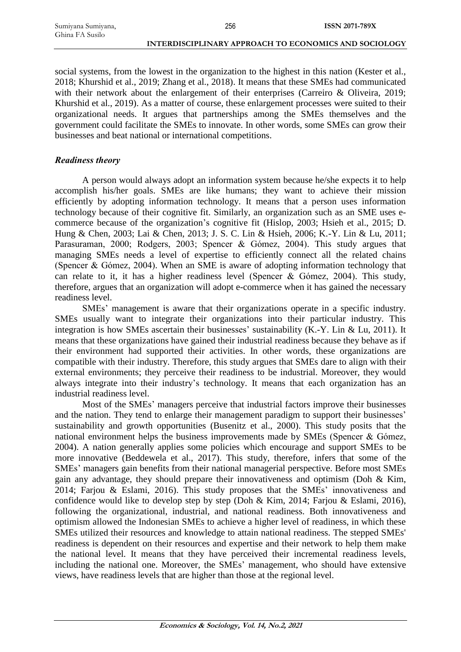social systems, from the lowest in the organization to the highest in this nation (Kester et al., 2018; Khurshid et al., 2019; Zhang et al., 2018). It means that these SMEs had communicated with their network about the enlargement of their enterprises (Carreiro & Oliveira, 2019; Khurshid et al., 2019). As a matter of course, these enlargement processes were suited to their organizational needs. It argues that partnerships among the SMEs themselves and the government could facilitate the SMEs to innovate. In other words, some SMEs can grow their businesses and beat national or international competitions.

# *Readiness theory*

A person would always adopt an information system because he/she expects it to help accomplish his/her goals. SMEs are like humans; they want to achieve their mission efficiently by adopting information technology. It means that a person uses information technology because of their cognitive fit. Similarly, an organization such as an SME uses ecommerce because of the organization's cognitive fit (Hislop, 2003; Hsieh et al., 2015; D. Hung & Chen, 2003; Lai & Chen, 2013; J. S. C. Lin & Hsieh, 2006; K.-Y. Lin & Lu, 2011; Parasuraman, 2000; Rodgers, 2003; Spencer & Gómez, 2004). This study argues that managing SMEs needs a level of expertise to efficiently connect all the related chains (Spencer & Gómez, 2004). When an SME is aware of adopting information technology that can relate to it, it has a higher readiness level (Spencer & Gómez, 2004). This study, therefore, argues that an organization will adopt e-commerce when it has gained the necessary readiness level.

SMEs' management is aware that their organizations operate in a specific industry. SMEs usually want to integrate their organizations into their particular industry. This integration is how SMEs ascertain their businesses' sustainability (K.-Y. Lin & Lu, 2011). It means that these organizations have gained their industrial readiness because they behave as if their environment had supported their activities. In other words, these organizations are compatible with their industry. Therefore, this study argues that SMEs dare to align with their external environments; they perceive their readiness to be industrial. Moreover, they would always integrate into their industry's technology. It means that each organization has an industrial readiness level.

Most of the SMEs' managers perceive that industrial factors improve their businesses and the nation. They tend to enlarge their management paradigm to support their businesses' sustainability and growth opportunities (Busenitz et al., 2000). This study posits that the national environment helps the business improvements made by SMEs (Spencer & Gómez, 2004). A nation generally applies some policies which encourage and support SMEs to be more innovative (Beddewela et al., 2017). This study, therefore, infers that some of the SMEs' managers gain benefits from their national managerial perspective. Before most SMEs gain any advantage, they should prepare their innovativeness and optimism (Doh & Kim, 2014; Farjou & Eslami, 2016). This study proposes that the SMEs' innovativeness and confidence would like to develop step by step (Doh & Kim, 2014; Farjou & Eslami, 2016), following the organizational, industrial, and national readiness. Both innovativeness and optimism allowed the Indonesian SMEs to achieve a higher level of readiness, in which these SMEs utilized their resources and knowledge to attain national readiness. The stepped SMEs' readiness is dependent on their resources and expertise and their network to help them make the national level. It means that they have perceived their incremental readiness levels, including the national one. Moreover, the SMEs' management, who should have extensive views, have readiness levels that are higher than those at the regional level.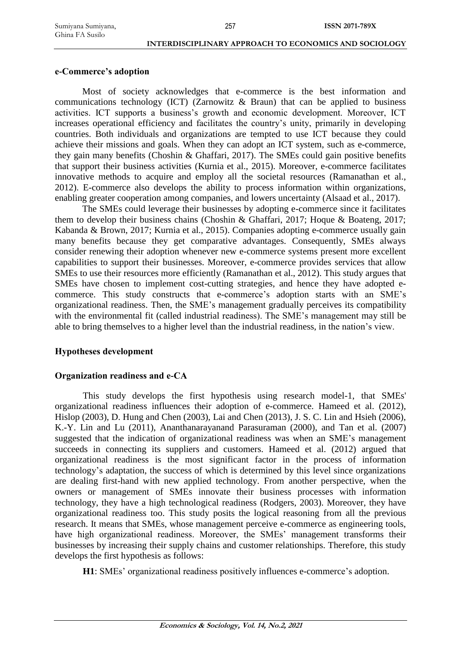#### **e-Commerce's adoption**

Most of society acknowledges that e-commerce is the best information and communications technology (ICT) (Zarnowitz  $\&$  Braun) that can be applied to business activities. ICT supports a business's growth and economic development. Moreover, ICT increases operational efficiency and facilitates the country's unity, primarily in developing countries. Both individuals and organizations are tempted to use ICT because they could achieve their missions and goals. When they can adopt an ICT system, such as e-commerce, they gain many benefits (Choshin & Ghaffari, 2017). The SMEs could gain positive benefits that support their business activities (Kurnia et al., 2015). Moreover, e-commerce facilitates innovative methods to acquire and employ all the societal resources (Ramanathan et al., 2012). E-commerce also develops the ability to process information within organizations, enabling greater cooperation among companies, and lowers uncertainty (Alsaad et al., 2017).

The SMEs could leverage their businesses by adopting e-commerce since it facilitates them to develop their business chains (Choshin & Ghaffari, 2017; Hoque & Boateng, 2017; Kabanda & Brown, 2017; Kurnia et al., 2015). Companies adopting e-commerce usually gain many benefits because they get comparative advantages. Consequently, SMEs always consider renewing their adoption whenever new e-commerce systems present more excellent capabilities to support their businesses. Moreover, e-commerce provides services that allow SMEs to use their resources more efficiently (Ramanathan et al., 2012). This study argues that SMEs have chosen to implement cost-cutting strategies, and hence they have adopted ecommerce. This study constructs that e-commerce's adoption starts with an SME's organizational readiness. Then, the SME's management gradually perceives its compatibility with the environmental fit (called industrial readiness). The SME's management may still be able to bring themselves to a higher level than the industrial readiness, in the nation's view.

# **Hypotheses development**

# **Organization readiness and e-CA**

This study develops the first hypothesis using research model-1, that SMEs' organizational readiness influences their adoption of e-commerce. Hameed et al. (2012), Hislop (2003), D. Hung and Chen (2003), Lai and Chen (2013), J. S. C. Lin and Hsieh (2006), K.-Y. Lin and Lu (2011), Ananthanarayanand Parasuraman (2000), and Tan et al. (2007) suggested that the indication of organizational readiness was when an SME's management succeeds in connecting its suppliers and customers. Hameed et al. (2012) argued that organizational readiness is the most significant factor in the process of information technology's adaptation, the success of which is determined by this level since organizations are dealing first-hand with new applied technology. From another perspective, when the owners or management of SMEs innovate their business processes with information technology, they have a high technological readiness (Rodgers, 2003). Moreover, they have organizational readiness too. This study posits the logical reasoning from all the previous research. It means that SMEs, whose management perceive e-commerce as engineering tools, have high organizational readiness. Moreover, the SMEs' management transforms their businesses by increasing their supply chains and customer relationships. Therefore, this study develops the first hypothesis as follows:

**H1**: SMEs' organizational readiness positively influences e-commerce's adoption.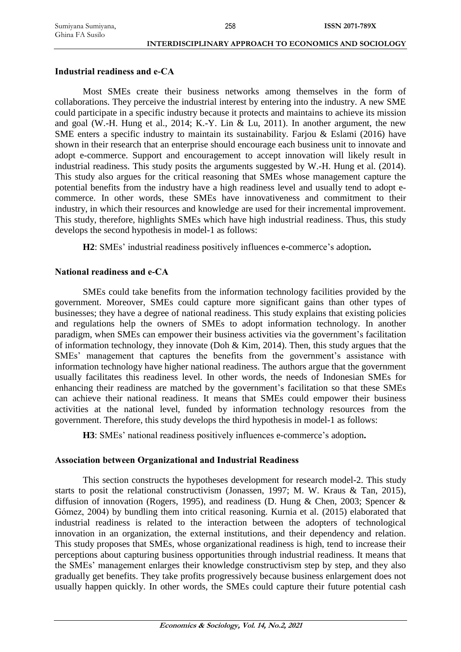#### **Industrial readiness and e-CA**

Most SMEs create their business networks among themselves in the form of collaborations. They perceive the industrial interest by entering into the industry. A new SME could participate in a specific industry because it protects and maintains to achieve its mission and goal (W.-H. Hung et al., 2014; K.-Y. Lin & Lu, 2011). In another argument, the new SME enters a specific industry to maintain its sustainability. Farjou & Eslami (2016) have shown in their research that an enterprise should encourage each business unit to innovate and adopt e-commerce. Support and encouragement to accept innovation will likely result in industrial readiness. This study posits the arguments suggested by W.-H. Hung et al. (2014). This study also argues for the critical reasoning that SMEs whose management capture the potential benefits from the industry have a high readiness level and usually tend to adopt ecommerce. In other words, these SMEs have innovativeness and commitment to their industry, in which their resources and knowledge are used for their incremental improvement. This study, therefore, highlights SMEs which have high industrial readiness. Thus, this study develops the second hypothesis in model-1 as follows:

**H2**: SMEs' industrial readiness positively influences e-commerce's adoption**.**

# **National readiness and e-CA**

SMEs could take benefits from the information technology facilities provided by the government. Moreover, SMEs could capture more significant gains than other types of businesses; they have a degree of national readiness. This study explains that existing policies and regulations help the owners of SMEs to adopt information technology. In another paradigm, when SMEs can empower their business activities via the government's facilitation of information technology, they innovate (Doh & Kim, 2014). Then, this study argues that the SMEs' management that captures the benefits from the government's assistance with information technology have higher national readiness. The authors argue that the government usually facilitates this readiness level. In other words, the needs of Indonesian SMEs for enhancing their readiness are matched by the government's facilitation so that these SMEs can achieve their national readiness. It means that SMEs could empower their business activities at the national level, funded by information technology resources from the government. Therefore, this study develops the third hypothesis in model-1 as follows:

**H3**: SMEs' national readiness positively influences e-commerce's adoption**.**

# **Association between Organizational and Industrial Readiness**

This section constructs the hypotheses development for research model-2. This study starts to posit the relational constructivism (Jonassen, 1997; M. W. Kraus & Tan, 2015), diffusion of innovation (Rogers, 1995), and readiness (D. Hung & Chen, 2003; Spencer & Gómez, 2004) by bundling them into critical reasoning. Kurnia et al. (2015) elaborated that industrial readiness is related to the interaction between the adopters of technological innovation in an organization, the external institutions, and their dependency and relation. This study proposes that SMEs, whose organizational readiness is high, tend to increase their perceptions about capturing business opportunities through industrial readiness. It means that the SMEs' management enlarges their knowledge constructivism step by step, and they also gradually get benefits. They take profits progressively because business enlargement does not usually happen quickly. In other words, the SMEs could capture their future potential cash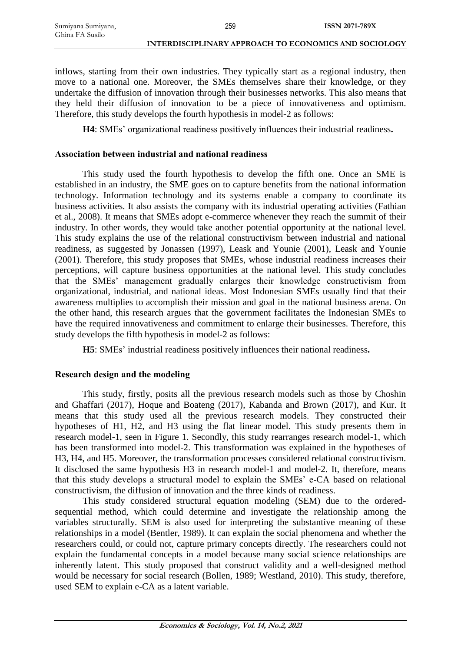inflows, starting from their own industries. They typically start as a regional industry, then move to a national one. Moreover, the SMEs themselves share their knowledge, or they undertake the diffusion of innovation through their businesses networks. This also means that they held their diffusion of innovation to be a piece of innovativeness and optimism. Therefore, this study develops the fourth hypothesis in model-2 as follows:

**H4**: SMEs' organizational readiness positively influences their industrial readiness**.**

#### **Association between industrial and national readiness**

This study used the fourth hypothesis to develop the fifth one. Once an SME is established in an industry, the SME goes on to capture benefits from the national information technology. Information technology and its systems enable a company to coordinate its business activities. It also assists the company with its industrial operating activities (Fathian et al., 2008). It means that SMEs adopt e-commerce whenever they reach the summit of their industry. In other words, they would take another potential opportunity at the national level. This study explains the use of the relational constructivism between industrial and national readiness, as suggested by Jonassen (1997), Leask and Younie (2001), Leask and Younie (2001). Therefore, this study proposes that SMEs, whose industrial readiness increases their perceptions, will capture business opportunities at the national level. This study concludes that the SMEs' management gradually enlarges their knowledge constructivism from organizational, industrial, and national ideas. Most Indonesian SMEs usually find that their awareness multiplies to accomplish their mission and goal in the national business arena. On the other hand, this research argues that the government facilitates the Indonesian SMEs to have the required innovativeness and commitment to enlarge their businesses. Therefore, this study develops the fifth hypothesis in model-2 as follows:

**H5**: SMEs' industrial readiness positively influences their national readiness**.**

#### **Research design and the modeling**

This study, firstly, posits all the previous research models such as those by Choshin and Ghaffari (2017), Hoque and Boateng (2017), Kabanda and Brown (2017), and Kur. It means that this study used all the previous research models. They constructed their hypotheses of H1, H2, and H3 using the flat linear model. This study presents them in research model-1, seen in Figure 1. Secondly, this study rearranges research model-1, which has been transformed into model-2. This transformation was explained in the hypotheses of H3, H4, and H5. Moreover, the transformation processes considered relational constructivism. It disclosed the same hypothesis H3 in research model-1 and model-2. It, therefore, means that this study develops a structural model to explain the SMEs' e-CA based on relational constructivism, the diffusion of innovation and the three kinds of readiness.

This study considered structural equation modeling (SEM) due to the orderedsequential method, which could determine and investigate the relationship among the variables structurally. SEM is also used for interpreting the substantive meaning of these relationships in a model (Bentler, 1989). It can explain the social phenomena and whether the researchers could, or could not, capture primary concepts directly. The researchers could not explain the fundamental concepts in a model because many social science relationships are inherently latent. This study proposed that construct validity and a well-designed method would be necessary for social research (Bollen, 1989; Westland, 2010). This study, therefore, used SEM to explain e-CA as a latent variable.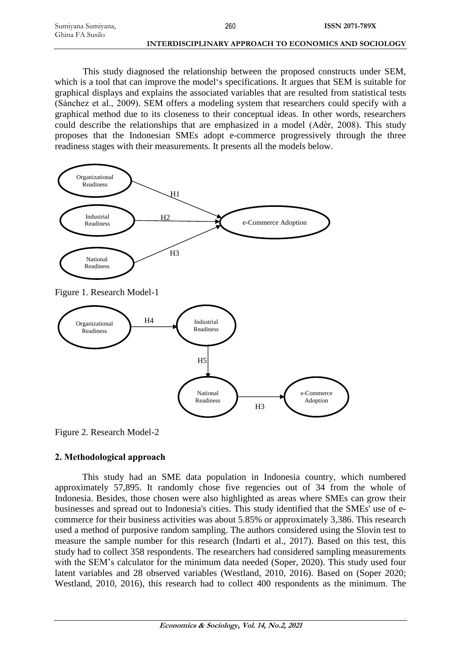| Sumiyana Sumiyana, | 260                                                   | <b>ISSN 2071-789X</b> |
|--------------------|-------------------------------------------------------|-----------------------|
| Ghina FA Susilo    |                                                       |                       |
|                    | INTERDISCIPLINARY APPROACH TO ECONOMICS AND SOCIOLOGY |                       |

This study diagnosed the relationship between the proposed constructs under SEM, which is a tool that can improve the model's specifications. It argues that SEM is suitable for graphical displays and explains the associated variables that are resulted from statistical tests (Sánchez et al., 2009). SEM offers a modeling system that researchers could specify with a graphical method due to its closeness to their conceptual ideas. In other words, researchers could describe the relationships that are emphasized in a model (Adèr, 2008). This study proposes that the Indonesian SMEs adopt e-commerce progressively through the three readiness stages with their measurements. It presents all the models below.



Figure 2. Research Model-2

# **2. Methodological approach**

This study had an SME data population in Indonesia country, which numbered approximately 57,895. It randomly chose five regencies out of 34 from the whole of Indonesia. Besides, those chosen were also highlighted as areas where SMEs can grow their businesses and spread out to Indonesia's cities. This study identified that the SMEs' use of ecommerce for their business activities was about 5.85% or approximately 3,386. This research used a method of purposive random sampling. The authors considered using the Slovin test to measure the sample number for this research (Indarti et al., 2017). Based on this test, this study had to collect 358 respondents. The researchers had considered sampling measurements with the SEM's calculator for the minimum data needed (Soper, 2020). This study used four latent variables and 28 observed variables (Westland, 2010, 2016). Based on (Soper 2020; Westland, 2010, 2016), this research had to collect 400 respondents as the minimum. The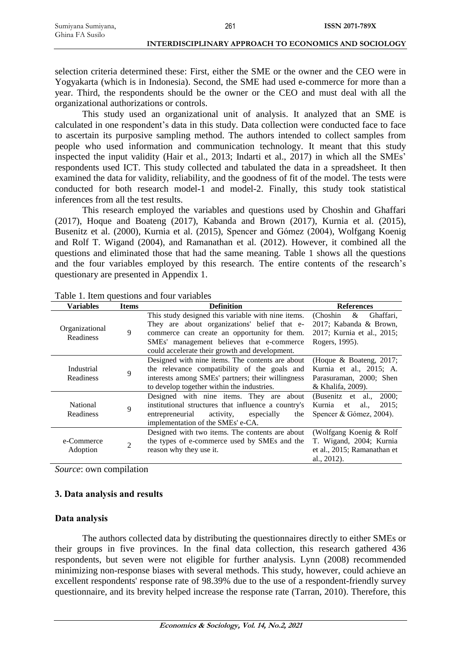| Sumiyana Sumiyana, | 261                                                   | <b>ISSN 2071-789X</b> |
|--------------------|-------------------------------------------------------|-----------------------|
| Ghina FA Susilo    |                                                       |                       |
|                    | INTERDISCIPLINARY APPROACH TO ECONOMICS AND SOCIOLOGY |                       |

selection criteria determined these: First, either the SME or the owner and the CEO were in Yogyakarta (which is in Indonesia). Second, the SME had used e-commerce for more than a year. Third, the respondents should be the owner or the CEO and must deal with all the organizational authorizations or controls.

This study used an organizational unit of analysis. It analyzed that an SME is calculated in one respondent's data in this study. Data collection were conducted face to face to ascertain its purposive sampling method. The authors intended to collect samples from people who used information and communication technology. It meant that this study inspected the input validity (Hair et al., 2013; Indarti et al., 2017) in which all the SMEs' respondents used ICT. This study collected and tabulated the data in a spreadsheet. It then examined the data for validity, reliability, and the goodness of fit of the model. The tests were conducted for both research model-1 and model-2. Finally, this study took statistical inferences from all the test results.

This research employed the variables and questions used by Choshin and Ghaffari (2017), Hoque and Boateng (2017), Kabanda and Brown (2017), Kurnia et al. (2015), Busenitz et al. (2000), Kurnia et al. (2015), Spencer and Gómez (2004), Wolfgang Koenig and Rolf T. Wigand (2004), and Ramanathan et al. (2012). However, it combined all the questions and eliminated those that had the same meaning. Table 1 shows all the questions and the four variables employed by this research. The entire contents of the research's questionary are presented in Appendix 1.

| <b>Variables</b>            | <b>Items</b> | <b>Definition</b>                                                                                                                                                                                                                                 | <b>References</b>                                                                                     |  |
|-----------------------------|--------------|---------------------------------------------------------------------------------------------------------------------------------------------------------------------------------------------------------------------------------------------------|-------------------------------------------------------------------------------------------------------|--|
| Organizational<br>Readiness | 9            | This study designed this variable with nine items.<br>They are about organizations' belief that e-<br>commerce can create an opportunity for them.<br>SMEs' management believes that e-commerce<br>could accelerate their growth and development. | &<br>Ghaffari.<br>(Choshin)<br>2017; Kabanda & Brown,<br>2017; Kurnia et al., 2015;<br>Rogers, 1995). |  |
| Industrial<br>Readiness     | 9            | Designed with nine items. The contents are about<br>the relevance compatibility of the goals and<br>interests among SMEs' partners; their willingness<br>to develop together within the industries.                                               | (Hoque & Boateng, 2017;<br>Kurnia et al., 2015; A.<br>Parasuraman, 2000; Shen<br>& Khalifa, 2009).    |  |
| National<br>Readiness       | 9            | Designed with nine items. They are about<br>institutional structures that influence a country's<br>activity,<br>entrepreneurial<br>especially<br>the<br>implementation of the SMEs' e-CA.                                                         | (Busenitz et al.,<br>2000;<br>Kurnia et al.,<br>2015:<br>Spencer & Gómez, 2004).                      |  |
| e-Commerce<br>Adoption      | 2            | Designed with two items. The contents are about<br>the types of e-commerce used by SMEs and the<br>reason why they use it.                                                                                                                        | (Wolfgang Koenig & Rolf<br>T. Wigand, 2004; Kurnia<br>et al., 2015; Ramanathan et<br>al., $2012$ ).   |  |

Table 1. Item questions and four variables

*Source*: own compilation

# **3. Data analysis and results**

# **Data analysis**

The authors collected data by distributing the questionnaires directly to either SMEs or their groups in five provinces. In the final data collection, this research gathered 436 respondents, but seven were not eligible for further analysis. Lynn (2008) recommended minimizing non-response biases with several methods. This study, however, could achieve an excellent respondents' response rate of 98.39% due to the use of a respondent-friendly survey questionnaire, and its brevity helped increase the response rate (Tarran, 2010). Therefore, this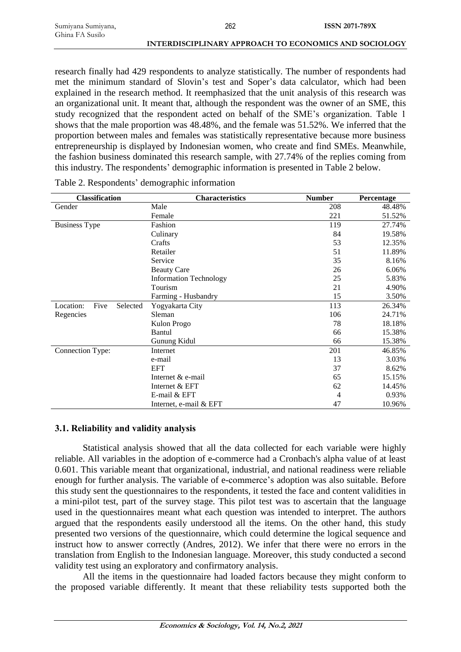research finally had 429 respondents to analyze statistically. The number of respondents had met the minimum standard of Slovin's test and Soper's data calculator, which had been explained in the research method. It reemphasized that the unit analysis of this research was an organizational unit. It meant that, although the respondent was the owner of an SME, this study recognized that the respondent acted on behalf of the SME's organization. Table 1 shows that the male proportion was 48.48%, and the female was 51.52%. We inferred that the proportion between males and females was statistically representative because more business entrepreneurship is displayed by Indonesian women, who create and find SMEs. Meanwhile, the fashion business dominated this research sample, with 27.74% of the replies coming from this industry. The respondents' demographic information is presented in Table 2 below.

| <b>Classification</b>         | <b>Characteristics</b>                                          | <b>Number</b> | Percentage |  |
|-------------------------------|-----------------------------------------------------------------|---------------|------------|--|
| Gender                        | Male                                                            | 208           | 48.48%     |  |
|                               | Female                                                          | 221           | 51.52%     |  |
| <b>Business Type</b>          | Fashion                                                         | 119           | 27.74%     |  |
|                               | Culinary                                                        | 84            | 19.58%     |  |
|                               | Crafts                                                          | 53            | 12.35%     |  |
|                               | Retailer                                                        | 51            | 11.89%     |  |
|                               | Service                                                         | 35            | 8.16%      |  |
|                               | 26<br><b>Beauty Care</b><br>25<br><b>Information Technology</b> |               | 6.06%      |  |
|                               |                                                                 |               | 5.83%      |  |
|                               | Tourism                                                         | 21            | 4.90%      |  |
|                               | Farming - Husbandry                                             | 15            | 3.50%      |  |
| Five<br>Location:<br>Selected | Yogyakarta City                                                 | 113           | 26.34%     |  |
| Regencies                     | Sleman                                                          | 106           | 24.71%     |  |
|                               | Kulon Progo                                                     | 78            | 18.18%     |  |
|                               | Bantul                                                          | 66            | 15.38%     |  |
|                               | Gunung Kidul                                                    | 66            | 15.38%     |  |
| Connection Type:              | Internet                                                        | 201           | 46.85%     |  |
|                               | e-mail                                                          | 13            | 3.03%      |  |
|                               | <b>EFT</b>                                                      | 37            | 8.62%      |  |
|                               | Internet & e-mail                                               | 65            | 15.15%     |  |
|                               | Internet & EFT                                                  | 62            | 14.45%     |  |
|                               | E-mail & EFT                                                    | 4             | 0.93%      |  |
|                               | Internet, e-mail & EFT                                          | 47            | 10.96%     |  |

# **3.1. Reliability and validity analysis**

Statistical analysis showed that all the data collected for each variable were highly reliable. All variables in the adoption of e-commerce had a Cronbach's alpha value of at least 0.601. This variable meant that organizational, industrial, and national readiness were reliable enough for further analysis. The variable of e-commerce's adoption was also suitable. Before this study sent the questionnaires to the respondents, it tested the face and content validities in a mini-pilot test, part of the survey stage. This pilot test was to ascertain that the language used in the questionnaires meant what each question was intended to interpret. The authors argued that the respondents easily understood all the items. On the other hand, this study presented two versions of the questionnaire, which could determine the logical sequence and instruct how to answer correctly (Andres, 2012). We infer that there were no errors in the translation from English to the Indonesian language. Moreover, this study conducted a second validity test using an exploratory and confirmatory analysis.

All the items in the questionnaire had loaded factors because they might conform to the proposed variable differently. It meant that these reliability tests supported both the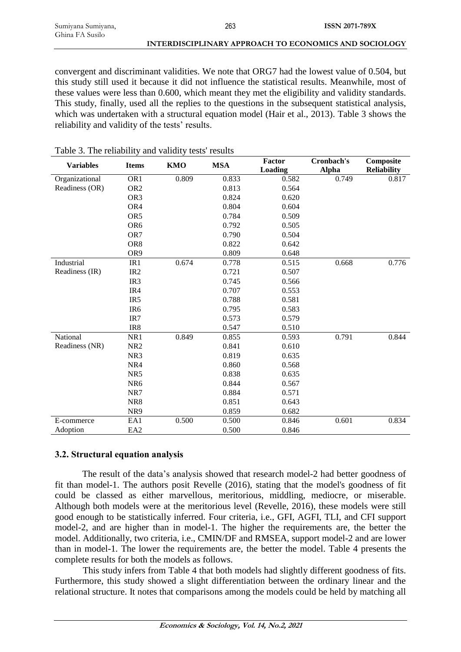convergent and discriminant validities. We note that ORG7 had the lowest value of 0.504, but this study still used it because it did not influence the statistical results. Meanwhile, most of these values were less than 0.600, which meant they met the eligibility and validity standards. This study, finally, used all the replies to the questions in the subsequent statistical analysis, which was undertaken with a structural equation model (Hair et al., 2013). Table 3 shows the reliability and validity of the tests' results.

| <b>Variables</b> | <b>Items</b>    | <b>KMO</b> | <b>MSA</b> | Factor<br>Loading | Cronbach's<br><b>Alpha</b> | Composite<br><b>Reliability</b> |
|------------------|-----------------|------------|------------|-------------------|----------------------------|---------------------------------|
| Organizational   | OR <sub>1</sub> | 0.809      | 0.833      | 0.582             | 0.749                      | 0.817                           |
| Readiness (OR)   | OR <sub>2</sub> |            | 0.813      | 0.564             |                            |                                 |
|                  | OR <sub>3</sub> |            | 0.824      | 0.620             |                            |                                 |
|                  | OR <sub>4</sub> |            | 0.804      | 0.604             |                            |                                 |
|                  | OR5             |            | 0.784      | 0.509             |                            |                                 |
|                  | OR <sub>6</sub> |            | 0.792      | 0.505             |                            |                                 |
|                  | OR7             |            | 0.790      | 0.504             |                            |                                 |
|                  | OR <sub>8</sub> |            | 0.822      | 0.642             |                            |                                 |
|                  | OR9             |            | 0.809      | 0.648             |                            |                                 |
| Industrial       | IR <sub>1</sub> | 0.674      | 0.778      | 0.515             | 0.668                      | 0.776                           |
| Readiness (IR)   | IR <sub>2</sub> |            | 0.721      | 0.507             |                            |                                 |
|                  | IR <sub>3</sub> |            | 0.745      | 0.566             |                            |                                 |
|                  | IR4             |            | 0.707      | 0.553             |                            |                                 |
|                  | IR <sub>5</sub> |            | 0.788      | 0.581             |                            |                                 |
|                  | IR <sub>6</sub> |            | 0.795      | 0.583             |                            |                                 |
|                  | IR7             |            | 0.573      | 0.579             |                            |                                 |
|                  | IR8             |            | 0.547      | 0.510             |                            |                                 |
| National         | NR1             | 0.849      | 0.855      | 0.593             | 0.791                      | 0.844                           |
| Readiness (NR)   | NR <sub>2</sub> |            | 0.841      | 0.610             |                            |                                 |
|                  | NR3             |            | 0.819      | 0.635             |                            |                                 |
|                  | NR4             |            | 0.860      | 0.568             |                            |                                 |
|                  | NR5             |            | 0.838      | 0.635             |                            |                                 |
|                  | NR <sub>6</sub> |            | 0.844      | 0.567             |                            |                                 |
|                  | NR7             |            | 0.884      | 0.571             |                            |                                 |
|                  | NR8             |            | 0.851      | 0.643             |                            |                                 |
|                  | NR9             |            | 0.859      | 0.682             |                            |                                 |
| E-commerce       | EA1             | 0.500      | 0.500      | 0.846             | 0.601                      | 0.834                           |
| Adoption         | EA <sub>2</sub> |            | 0.500      | 0.846             |                            |                                 |

# Table 3. The reliability and validity tests' results

# **3.2. Structural equation analysis**

The result of the data's analysis showed that research model-2 had better goodness of fit than model-1. The authors posit Revelle (2016), stating that the model's goodness of fit could be classed as either marvellous, meritorious, middling, mediocre, or miserable. Although both models were at the meritorious level (Revelle, 2016), these models were still good enough to be statistically inferred. Four criteria, i.e., GFI, AGFI, TLI, and CFI support model-2, and are higher than in model-1. The higher the requirements are, the better the model. Additionally, two criteria, i.e., CMIN/DF and RMSEA, support model-2 and are lower than in model-1. The lower the requirements are, the better the model. Table 4 presents the complete results for both the models as follows.

This study infers from Table 4 that both models had slightly different goodness of fits. Furthermore, this study showed a slight differentiation between the ordinary linear and the relational structure. It notes that comparisons among the models could be held by matching all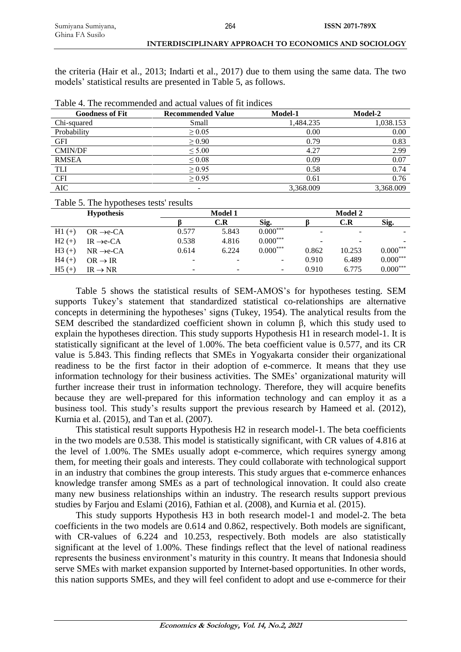the criteria (Hair et al., 2013; Indarti et al., 2017) due to them using the same data. The two models' statistical results are presented in Table 5, as follows.

| <b>Goodness of Fit</b> | <b>Recommended Value</b> | Model-1   | Model-2   |
|------------------------|--------------------------|-----------|-----------|
| Chi-squared            | Small                    | 1.484.235 | 1,038.153 |
| Probability            | $\geq 0.05$              | 0.00      | 0.00      |
| <b>GFI</b>             | $\geq 0.90$              | 0.79      | 0.83      |
| CMIN/DF                | $\leq 5.00$              | 4.27      | 2.99      |
| <b>RMSEA</b>           | $\leq 0.08$              | 0.09      | 0.07      |
| TLI                    | $\geq 0.95$              | 0.58      | 0.74      |
| <b>CFI</b>             | > 0.95                   | 0.61      | 0.76      |
| <b>AIC</b>             | -                        | 3,368.009 | 3,368.009 |

Table 5. The hypotheses tests' results

|          | - -                          |       |                |            |       |                          |            |  |
|----------|------------------------------|-------|----------------|------------|-------|--------------------------|------------|--|
|          | <b>Hypothesis</b>            |       | <b>Model 1</b> |            |       | <b>Model 2</b>           |            |  |
|          |                              |       | C.R            | Sig.       |       | C.R                      | Sig.       |  |
| $H1 (+)$ | $OR \rightarrow e\text{-}CA$ | 0.577 | 5.843          | $0.000***$ | ۰     | $\overline{\phantom{a}}$ |            |  |
| $H2 (+)$ | $IR \rightarrow e\text{-}CA$ | 0.538 | 4.816          | $0.000***$ | ۰     | $\overline{\phantom{0}}$ |            |  |
| $H3 (+)$ | $NR \rightarrow e\text{-}CA$ | 0.614 | 6.224          | $0.000***$ | 0.862 | 10.253                   | $0.000***$ |  |
| $H4 (+)$ | $OR \rightarrow IR$          | -     | -              | -          | 0.910 | 6.489                    | $0.000***$ |  |
| $H5 (+)$ | $IR \rightarrow NR$          | -     | -              | -          | 0.910 | 6.775                    | $0.000***$ |  |
|          |                              |       |                |            |       |                          |            |  |

Table 5 shows the statistical results of SEM-AMOS's for hypotheses testing. SEM supports Tukey's statement that standardized statistical co-relationships are alternative concepts in determining the hypotheses' signs (Tukey, 1954). The analytical results from the SEM described the standardized coefficient shown in column β, which this study used to explain the hypotheses direction. This study supports Hypothesis H1 in research model-1. It is statistically significant at the level of 1.00%. The beta coefficient value is 0.577, and its CR value is 5.843. This finding reflects that SMEs in Yogyakarta consider their organizational readiness to be the first factor in their adoption of e-commerce. It means that they use information technology for their business activities. The SMEs' organizational maturity will further increase their trust in information technology. Therefore, they will acquire benefits because they are well-prepared for this information technology and can employ it as a business tool. This study's results support the previous research by Hameed et al. (2012), Kurnia et al. (2015), and Tan et al. (2007).

This statistical result supports Hypothesis H2 in research model-1. The beta coefficients in the two models are 0.538. This model is statistically significant, with CR values of 4.816 at the level of 1.00%. The SMEs usually adopt e-commerce, which requires synergy among them, for meeting their goals and interests. They could collaborate with technological support in an industry that combines the group interests. This study argues that e-commerce enhances knowledge transfer among SMEs as a part of technological innovation. It could also create many new business relationships within an industry. The research results support previous studies by Farjou and Eslami (2016), Fathian et al. (2008), and Kurnia et al. (2015).

This study supports Hypothesis H3 in both research model-1 and model-2. The beta coefficients in the two models are 0.614 and 0.862, respectively. Both models are significant, with CR-values of 6.224 and 10.253, respectively. Both models are also statistically significant at the level of 1.00%. These findings reflect that the level of national readiness represents the business environment's maturity in this country. It means that Indonesia should serve SMEs with market expansion supported by Internet-based opportunities. In other words, this nation supports SMEs, and they will feel confident to adopt and use e-commerce for their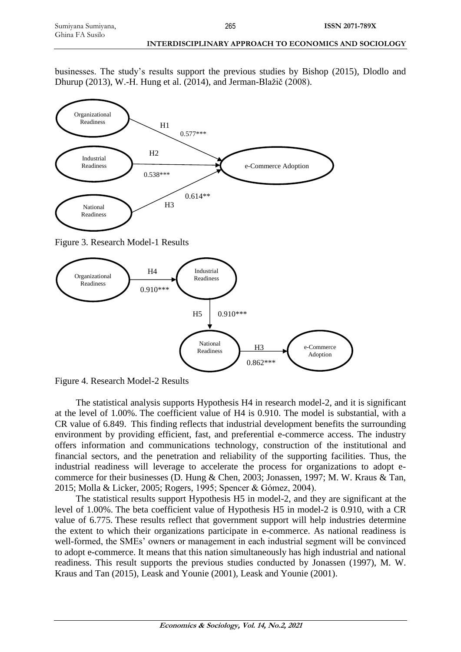businesses. The study's results support the previous studies by Bishop (2015), Dlodlo and Dhurup (2013), W.-H. Hung et al. (2014), and Jerman-Blažič (2008).



Figure 3. Research Model-1 Results



Figure 4. Research Model-2 Results

The statistical analysis supports Hypothesis H4 in research model-2, and it is significant at the level of 1.00%. The coefficient value of H4 is 0.910. The model is substantial, with a CR value of 6.849. This finding reflects that industrial development benefits the surrounding environment by providing efficient, fast, and preferential e-commerce access. The industry offers information and communications technology, construction of the institutional and financial sectors, and the penetration and reliability of the supporting facilities. Thus, the industrial readiness will leverage to accelerate the process for organizations to adopt ecommerce for their businesses (D. Hung & Chen, 2003; Jonassen, 1997; M. W. Kraus & Tan, 2015; Molla & Licker, 2005; Rogers, 1995; Spencer & Gómez, 2004).

The statistical results support Hypothesis H5 in model-2, and they are significant at the level of 1.00%. The beta coefficient value of Hypothesis H5 in model-2 is 0.910, with a CR value of 6.775. These results reflect that government support will help industries determine the extent to which their organizations participate in e-commerce. As national readiness is well-formed, the SMEs' owners or management in each industrial segment will be convinced to adopt e-commerce. It means that this nation simultaneously has high industrial and national readiness. This result supports the previous studies conducted by Jonassen (1997), M. W. Kraus and Tan (2015), Leask and Younie (2001), Leask and Younie (2001).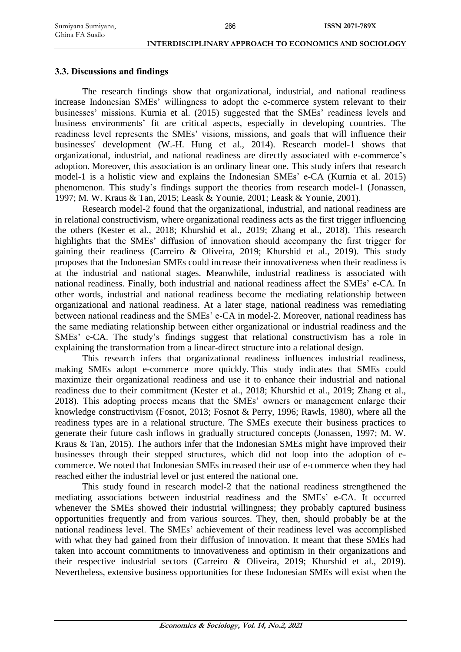#### **3.3. Discussions and findings**

The research findings show that organizational, industrial, and national readiness increase Indonesian SMEs' willingness to adopt the e-commerce system relevant to their businesses' missions. Kurnia et al. (2015) suggested that the SMEs' readiness levels and business environments' fit are critical aspects, especially in developing countries. The readiness level represents the SMEs' visions, missions, and goals that will influence their businesses' development (W.-H. Hung et al., 2014). Research model-1 shows that organizational, industrial, and national readiness are directly associated with e-commerce's adoption. Moreover, this association is an ordinary linear one. This study infers that research model-1 is a holistic view and explains the Indonesian SMEs' e-CA (Kurnia et al. 2015) phenomenon. This study's findings support the theories from research model-1 (Jonassen, 1997; M. W. Kraus & Tan, 2015; Leask & Younie, 2001; Leask & Younie, 2001).

Research model-2 found that the organizational, industrial, and national readiness are in relational constructivism, where organizational readiness acts as the first trigger influencing the others (Kester et al., 2018; Khurshid et al., 2019; Zhang et al., 2018). This research highlights that the SMEs' diffusion of innovation should accompany the first trigger for gaining their readiness (Carreiro & Oliveira, 2019; Khurshid et al., 2019). This study proposes that the Indonesian SMEs could increase their innovativeness when their readiness is at the industrial and national stages. Meanwhile, industrial readiness is associated with national readiness. Finally, both industrial and national readiness affect the SMEs' e-CA. In other words, industrial and national readiness become the mediating relationship between organizational and national readiness. At a later stage, national readiness was remediating between national readiness and the SMEs' e-CA in model-2. Moreover, national readiness has the same mediating relationship between either organizational or industrial readiness and the SMEs' e-CA. The study's findings suggest that relational constructivism has a role in explaining the transformation from a linear-direct structure into a relational design.

This research infers that organizational readiness influences industrial readiness, making SMEs adopt e-commerce more quickly. This study indicates that SMEs could maximize their organizational readiness and use it to enhance their industrial and national readiness due to their commitment (Kester et al., 2018; Khurshid et al., 2019; Zhang et al., 2018). This adopting process means that the SMEs' owners or management enlarge their knowledge constructivism (Fosnot, 2013; Fosnot & Perry, 1996; Rawls, 1980), where all the readiness types are in a relational structure. The SMEs execute their business practices to generate their future cash inflows in gradually structured concepts (Jonassen, 1997; M. W. Kraus & Tan, 2015). The authors infer that the Indonesian SMEs might have improved their businesses through their stepped structures, which did not loop into the adoption of ecommerce. We noted that Indonesian SMEs increased their use of e-commerce when they had reached either the industrial level or just entered the national one.

This study found in research model-2 that the national readiness strengthened the mediating associations between industrial readiness and the SMEs' e-CA. It occurred whenever the SMEs showed their industrial willingness; they probably captured business opportunities frequently and from various sources. They, then, should probably be at the national readiness level. The SMEs' achievement of their readiness level was accomplished with what they had gained from their diffusion of innovation. It meant that these SMEs had taken into account commitments to innovativeness and optimism in their organizations and their respective industrial sectors (Carreiro & Oliveira, 2019; Khurshid et al., 2019). Nevertheless, extensive business opportunities for these Indonesian SMEs will exist when the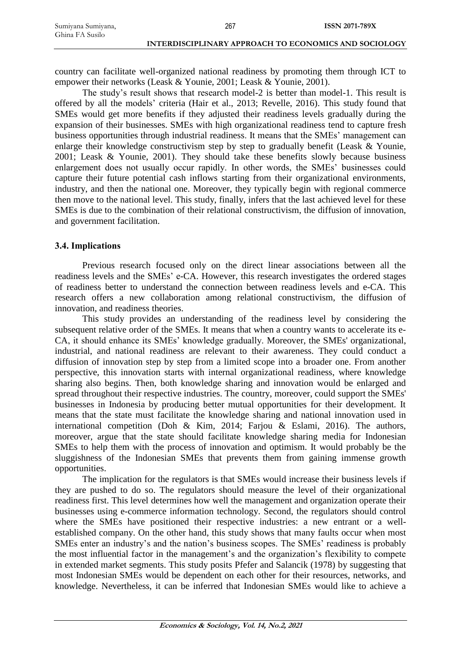country can facilitate well-organized national readiness by promoting them through ICT to empower their networks (Leask & Younie, 2001; Leask & Younie, 2001).

The study's result shows that research model-2 is better than model-1. This result is offered by all the models' criteria (Hair et al., 2013; Revelle, 2016). This study found that SMEs would get more benefits if they adjusted their readiness levels gradually during the expansion of their businesses. SMEs with high organizational readiness tend to capture fresh business opportunities through industrial readiness. It means that the SMEs' management can enlarge their knowledge constructivism step by step to gradually benefit (Leask & Younie, 2001; Leask & Younie, 2001). They should take these benefits slowly because business enlargement does not usually occur rapidly. In other words, the SMEs' businesses could capture their future potential cash inflows starting from their organizational environments, industry, and then the national one. Moreover, they typically begin with regional commerce then move to the national level. This study, finally, infers that the last achieved level for these SMEs is due to the combination of their relational constructivism, the diffusion of innovation, and government facilitation.

# **3.4. Implications**

Previous research focused only on the direct linear associations between all the readiness levels and the SMEs' e-CA. However, this research investigates the ordered stages of readiness better to understand the connection between readiness levels and e-CA. This research offers a new collaboration among relational constructivism, the diffusion of innovation, and readiness theories.

This study provides an understanding of the readiness level by considering the subsequent relative order of the SMEs. It means that when a country wants to accelerate its e-CA, it should enhance its SMEs' knowledge gradually. Moreover, the SMEs' organizational, industrial, and national readiness are relevant to their awareness. They could conduct a diffusion of innovation step by step from a limited scope into a broader one. From another perspective, this innovation starts with internal organizational readiness, where knowledge sharing also begins. Then, both knowledge sharing and innovation would be enlarged and spread throughout their respective industries. The country, moreover, could support the SMEs' businesses in Indonesia by producing better mutual opportunities for their development. It means that the state must facilitate the knowledge sharing and national innovation used in international competition (Doh & Kim, 2014; Farjou & Eslami, 2016). The authors, moreover, argue that the state should facilitate knowledge sharing media for Indonesian SMEs to help them with the process of innovation and optimism. It would probably be the sluggishness of the Indonesian SMEs that prevents them from gaining immense growth opportunities.

The implication for the regulators is that SMEs would increase their business levels if they are pushed to do so. The regulators should measure the level of their organizational readiness first. This level determines how well the management and organization operate their businesses using e-commerce information technology. Second, the regulators should control where the SMEs have positioned their respective industries: a new entrant or a wellestablished company. On the other hand, this study shows that many faults occur when most SMEs enter an industry's and the nation's business scopes. The SMEs' readiness is probably the most influential factor in the management's and the organization's flexibility to compete in extended market segments. This study posits Pfefer and Salancik (1978) by suggesting that most Indonesian SMEs would be dependent on each other for their resources, networks, and knowledge. Nevertheless, it can be inferred that Indonesian SMEs would like to achieve a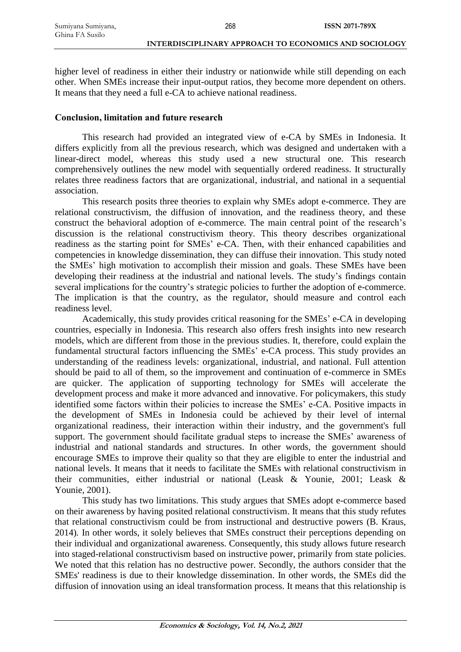higher level of readiness in either their industry or nationwide while still depending on each other. When SMEs increase their input-output ratios, they become more dependent on others. It means that they need a full e-CA to achieve national readiness.

# **Conclusion, limitation and future research**

This research had provided an integrated view of e-CA by SMEs in Indonesia. It differs explicitly from all the previous research, which was designed and undertaken with a linear-direct model, whereas this study used a new structural one. This research comprehensively outlines the new model with sequentially ordered readiness. It structurally relates three readiness factors that are organizational, industrial, and national in a sequential association.

This research posits three theories to explain why SMEs adopt e-commerce. They are relational constructivism, the diffusion of innovation, and the readiness theory, and these construct the behavioral adoption of e-commerce. The main central point of the research's discussion is the relational constructivism theory. This theory describes organizational readiness as the starting point for SMEs' e-CA. Then, with their enhanced capabilities and competencies in knowledge dissemination, they can diffuse their innovation. This study noted the SMEs' high motivation to accomplish their mission and goals. These SMEs have been developing their readiness at the industrial and national levels. The study's findings contain several implications for the country's strategic policies to further the adoption of e-commerce. The implication is that the country, as the regulator, should measure and control each readiness level.

Academically, this study provides critical reasoning for the SMEs' e-CA in developing countries, especially in Indonesia. This research also offers fresh insights into new research models, which are different from those in the previous studies. It, therefore, could explain the fundamental structural factors influencing the SMEs' e-CA process. This study provides an understanding of the readiness levels: organizational, industrial, and national. Full attention should be paid to all of them, so the improvement and continuation of e-commerce in SMEs are quicker. The application of supporting technology for SMEs will accelerate the development process and make it more advanced and innovative. For policymakers, this study identified some factors within their policies to increase the SMEs' e-CA. Positive impacts in the development of SMEs in Indonesia could be achieved by their level of internal organizational readiness, their interaction within their industry, and the government's full support. The government should facilitate gradual steps to increase the SMEs' awareness of industrial and national standards and structures. In other words, the government should encourage SMEs to improve their quality so that they are eligible to enter the industrial and national levels. It means that it needs to facilitate the SMEs with relational constructivism in their communities, either industrial or national (Leask & Younie, 2001; Leask & Younie, 2001).

This study has two limitations. This study argues that SMEs adopt e-commerce based on their awareness by having posited relational constructivism. It means that this study refutes that relational constructivism could be from instructional and destructive powers (B. Kraus, 2014)*.* In other words, it solely believes that SMEs construct their perceptions depending on their individual and organizational awareness. Consequently, this study allows future research into staged-relational constructivism based on instructive power, primarily from state policies. We noted that this relation has no destructive power. Secondly, the authors consider that the SMEs' readiness is due to their knowledge dissemination. In other words, the SMEs did the diffusion of innovation using an ideal transformation process. It means that this relationship is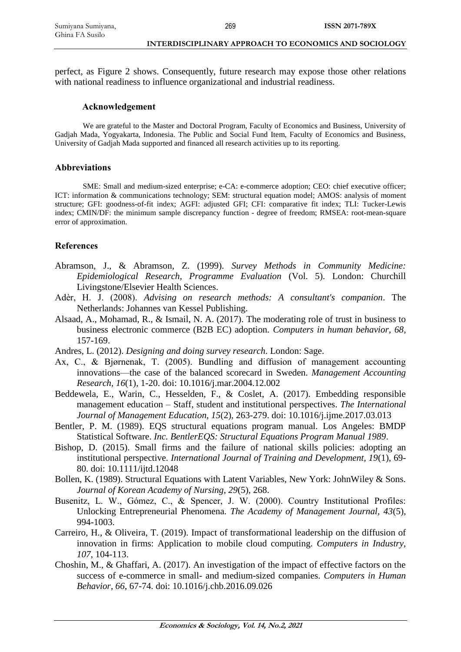perfect, as Figure 2 shows. Consequently, future research may expose those other relations with national readiness to influence organizational and industrial readiness.

#### **Acknowledgement**

We are grateful to the Master and Doctoral Program, Faculty of Economics and Business, University of Gadjah Mada, Yogyakarta, Indonesia. The Public and Social Fund Item, Faculty of Economics and Business, University of Gadjah Mada supported and financed all research activities up to its reporting.

#### **Abbreviations**

SME: Small and medium-sized enterprise; e-CA: e-commerce adoption; CEO: chief executive officer; ICT: information & communications technology; SEM: structural equation model; AMOS: analysis of moment structure; GFI: goodness-of-fit index; AGFI: adjusted GFI; CFI: comparative fit index; TLI: Tucker-Lewis index; CMIN/DF: the minimum sample discrepancy function - degree of freedom; RMSEA: root-mean-square error of approximation.

#### **References**

- Abramson, J., & Abramson, Z. (1999). *Survey Methods in Community Medicine: Epidemiological Research, Programme Evaluation* (Vol. 5). London: Churchill Livingstone/Elsevier Health Sciences.
- Adèr, H. J. (2008). *Advising on research methods: A consultant's companion*. The Netherlands: Johannes van Kessel Publishing.
- Alsaad, A., Mohamad, R., & Ismail, N. A. (2017). The moderating role of trust in business to business electronic commerce (B2B EC) adoption. *Computers in human behavior, 68*, 157-169.
- Andres, L. (2012). *Designing and doing survey research*. London: Sage.
- Ax, C., & Bjørnenak, T. (2005). Bundling and diffusion of management accounting innovations—the case of the balanced scorecard in Sweden. *Management Accounting Research, 16*(1), 1-20. doi: 10.1016/j.mar.2004.12.002
- Beddewela, E., Warin, C., Hesselden, F., & Coslet, A. (2017). Embedding responsible management education – Staff, student and institutional perspectives. *The International Journal of Management Education, 15*(2), 263-279. doi: 10.1016/j.ijme.2017.03.013
- Bentler, P. M. (1989). EQS structural equations program manual. Los Angeles: BMDP Statistical Software. *Inc. BentlerEQS: Structural Equations Program Manual 1989*.
- Bishop, D. (2015). Small firms and the failure of national skills policies: adopting an institutional perspective. *International Journal of Training and Development, 19*(1), 69- 80. doi: 10.1111/ijtd.12048
- Bollen, K. (1989). Structural Equations with Latent Variables, New York: JohnWiley & Sons. *Journal of Korean Academy of Nursing, 29*(5), 268.
- Busenitz, L. W., Gómez, C., & Spencer, J. W. (2000). Country Institutional Profiles: Unlocking Entrepreneurial Phenomena. *The Academy of Management Journal, 43*(5), 994-1003.
- Carreiro, H., & Oliveira, T. (2019). Impact of transformational leadership on the diffusion of innovation in firms: Application to mobile cloud computing. *Computers in Industry, 107*, 104-113.
- Choshin, M., & Ghaffari, A. (2017). An investigation of the impact of effective factors on the success of e-commerce in small- and medium-sized companies. *Computers in Human Behavior, 66*, 67-74. doi: 10.1016/j.chb.2016.09.026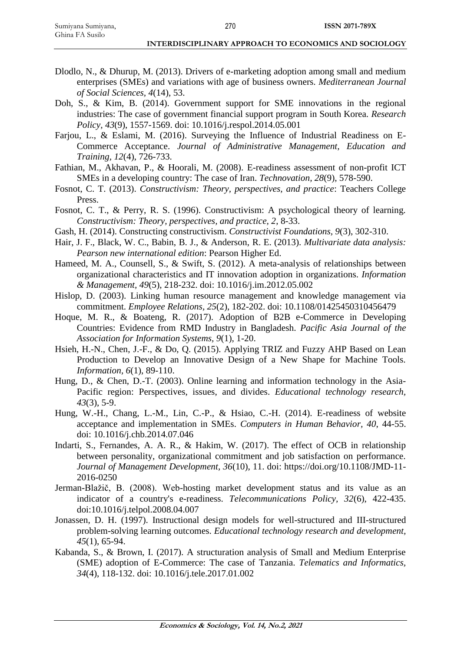- Dlodlo, N., & Dhurup, M. (2013). Drivers of e-marketing adoption among small and medium enterprises (SMEs) and variations with age of business owners. *Mediterranean Journal of Social Sciences, 4*(14), 53.
- Doh, S., & Kim, B. (2014). Government support for SME innovations in the regional industries: The case of government financial support program in South Korea. *Research Policy, 43*(9), 1557-1569. doi: 10.1016/j.respol.2014.05.001
- Farjou, L., & Eslami, M. (2016). Surveying the Influence of Industrial Readiness on E-Commerce Acceptance. *Journal of Administrative Management, Education and Training, 12*(4), 726-733.
- Fathian, M., Akhavan, P., & Hoorali, M. (2008). E-readiness assessment of non-profit ICT SMEs in a developing country: The case of Iran. *Technovation, 28*(9), 578-590.
- Fosnot, C. T. (2013). *Constructivism: Theory, perspectives, and practice*: Teachers College Press.
- Fosnot, C. T., & Perry, R. S. (1996). Constructivism: A psychological theory of learning. *Constructivism: Theory, perspectives, and practice, 2*, 8-33.
- Gash, H. (2014). Constructing constructivism. *Constructivist Foundations, 9*(3), 302-310.
- Hair, J. F., Black, W. C., Babin, B. J., & Anderson, R. E. (2013). *Multivariate data analysis: Pearson new international edition*: Pearson Higher Ed.
- Hameed, M. A., Counsell, S., & Swift, S. (2012). A meta-analysis of relationships between organizational characteristics and IT innovation adoption in organizations. *Information & Management, 49*(5), 218-232. doi: 10.1016/j.im.2012.05.002
- Hislop, D. (2003). Linking human resource management and knowledge management via commitment. *Employee Relations, 25*(2), 182-202. doi: 10.1108/01425450310456479
- Hoque, M. R., & Boateng, R. (2017). Adoption of B2B e-Commerce in Developing Countries: Evidence from RMD Industry in Bangladesh. *Pacific Asia Journal of the Association for Information Systems, 9*(1), 1-20.
- Hsieh, H.-N., Chen, J.-F., & Do, Q. (2015). Applying TRIZ and Fuzzy AHP Based on Lean Production to Develop an Innovative Design of a New Shape for Machine Tools. *Information, 6*(1), 89-110.
- Hung, D., & Chen, D.-T. (2003). Online learning and information technology in the Asia-Pacific region: Perspectives, issues, and divides. *Educational technology research, 43*(3), 5-9.
- Hung, W.-H., Chang, L.-M., Lin, C.-P., & Hsiao, C.-H. (2014). E-readiness of website acceptance and implementation in SMEs. *Computers in Human Behavior, 40*, 44-55. doi: 10.1016/j.chb.2014.07.046
- Indarti, S., Fernandes, A. A. R., & Hakim, W. (2017). The effect of OCB in relationship between personality, organizational commitment and job satisfaction on performance. *Journal of Management Development, 36*(10), 11. doi: https://doi.org/10.1108/JMD-11- 2016-0250
- Jerman-Blažič, B. (2008). Web-hosting market development status and its value as an indicator of a country's e-readiness. *Telecommunications Policy, 32*(6), 422-435. doi:10.1016/j.telpol.2008.04.007
- Jonassen, D. H. (1997). Instructional design models for well-structured and III-structured problem-solving learning outcomes. *Educational technology research and development, 45*(1), 65-94.
- Kabanda, S., & Brown, I. (2017). A structuration analysis of Small and Medium Enterprise (SME) adoption of E-Commerce: The case of Tanzania. *Telematics and Informatics, 34*(4), 118-132. doi: 10.1016/j.tele.2017.01.002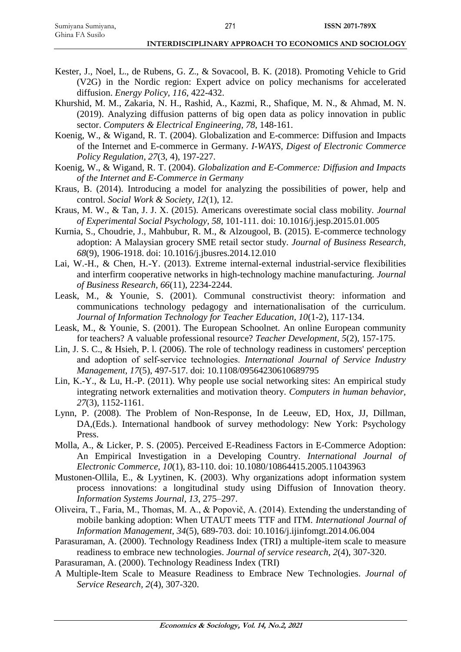- Kester, J., Noel, L., de Rubens, G. Z., & Sovacool, B. K. (2018). Promoting Vehicle to Grid (V2G) in the Nordic region: Expert advice on policy mechanisms for accelerated diffusion. *Energy Policy, 116*, 422-432.
- Khurshid, M. M., Zakaria, N. H., Rashid, A., Kazmi, R., Shafique, M. N., & Ahmad, M. N. (2019). Analyzing diffusion patterns of big open data as policy innovation in public sector. *Computers & Electrical Engineering, 78*, 148-161.
- Koenig, W., & Wigand, R. T. (2004). Globalization and E-commerce: Diffusion and Impacts of the Internet and E-commerce in Germany. *I-WAYS, Digest of Electronic Commerce Policy Regulation, 27*(3, 4), 197-227.
- Koenig, W., & Wigand, R. T. (2004). *Globalization and E-Commerce: Diffusion and Impacts of the Internet and E-Commerce in Germany*
- Kraus, B. (2014). Introducing a model for analyzing the possibilities of power, help and control. *Social Work & Society, 12*(1), 12.
- Kraus, M. W., & Tan, J. J. X. (2015). Americans overestimate social class mobility. *Journal of Experimental Social Psychology, 58*, 101-111. doi: 10.1016/j.jesp.2015.01.005
- Kurnia, S., Choudrie, J., Mahbubur, R. M., & Alzougool, B. (2015). E-commerce technology adoption: A Malaysian grocery SME retail sector study. *Journal of Business Research, 68*(9), 1906-1918. doi: 10.1016/j.jbusres.2014.12.010
- Lai, W.-H., & Chen, H.-Y. (2013). Extreme internal-external industrial-service flexibilities and interfirm cooperative networks in high-technology machine manufacturing. *Journal of Business Research, 66*(11), 2234-2244.
- Leask, M., & Younie, S. (2001). Communal constructivist theory: information and communications technology pedagogy and internationalisation of the curriculum. *Journal of Information Technology for Teacher Education, 10*(1-2), 117-134.
- Leask, M., & Younie, S. (2001). The European Schoolnet. An online European community for teachers? A valuable professional resource? *Teacher Development, 5*(2), 157-175.
- Lin, J. S. C., & Hsieh, P. l. (2006). The role of technology readiness in customers' perception and adoption of self‐service technologies. *International Journal of Service Industry Management, 17*(5), 497-517. doi: 10.1108/09564230610689795
- Lin, K.-Y., & Lu, H.-P. (2011). Why people use social networking sites: An empirical study integrating network externalities and motivation theory. *Computers in human behavior, 27*(3), 1152-1161.
- Lynn, P. (2008). The Problem of Non-Response, In de Leeuw, ED, Hox, JJ, Dillman, DA,(Eds.). International handbook of survey methodology: New York: Psychology Press.
- Molla, A., & Licker, P. S. (2005). Perceived E-Readiness Factors in E-Commerce Adoption: An Empirical Investigation in a Developing Country. *International Journal of Electronic Commerce, 10*(1), 83-110. doi: 10.1080/10864415.2005.11043963
- Mustonen-Ollila, E., & Lyytinen, K. (2003). Why organizations adopt information system process innovations: a longitudinal study using Diffusion of Innovation theory. *Information Systems Journal, 13*, 275–297.
- Oliveira, T., Faria, M., Thomas, M. A., & Popovič, A. (2014). Extending the understanding of mobile banking adoption: When UTAUT meets TTF and ITM. *International Journal of Information Management, 34*(5), 689-703. doi: 10.1016/j.ijinfomgt.2014.06.004
- Parasuraman, A. (2000). Technology Readiness Index (TRI) a multiple-item scale to measure readiness to embrace new technologies. *Journal of service research, 2*(4), 307-320.

Parasuraman, A. (2000). Technology Readiness Index (TRI)

A Multiple-Item Scale to Measure Readiness to Embrace New Technologies. *Journal of Service Research, 2*(4), 307-320.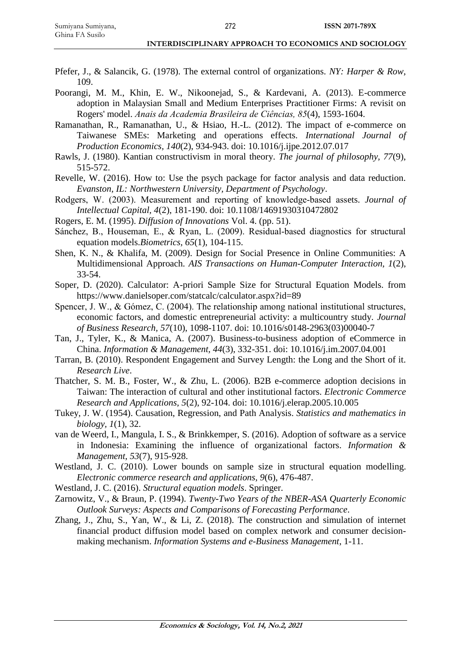Ghina FA Susilo

- Pfefer, J., & Salancik, G. (1978). The external control of organizations. *NY: Harper & Row*, 109.
- Poorangi, M. M., Khin, E. W., Nikoonejad, S., & Kardevani, A. (2013). E-commerce adoption in Malaysian Small and Medium Enterprises Practitioner Firms: A revisit on Rogers' model. *Anais da Academia Brasileira de Ciências, 85*(4), 1593-1604.
- Ramanathan, R., Ramanathan, U., & Hsiao, H.-L. (2012). The impact of e-commerce on Taiwanese SMEs: Marketing and operations effects. *International Journal of Production Economics, 140*(2), 934-943. doi: 10.1016/j.ijpe.2012.07.017
- Rawls, J. (1980). Kantian constructivism in moral theory. *The journal of philosophy, 77*(9), 515-572.
- Revelle, W. (2016). How to: Use the psych package for factor analysis and data reduction. *Evanston, IL: Northwestern University, Department of Psychology*.
- Rodgers, W. (2003). Measurement and reporting of knowledge‐based assets. *Journal of Intellectual Capital, 4*(2), 181-190. doi: 10.1108/14691930310472802
- Rogers, E. M. (1995). *Diffusion of Innovations* Vol. 4. (pp. 51).
- Sánchez, B., Houseman, E., & Ryan, L. (2009). Residual‐based diagnostics for structural equation models.*Biometrics, 65*(1), 104-115.
- Shen, K. N., & Khalifa, M. (2009). Design for Social Presence in Online Communities: A Multidimensional Approach. *AIS Transactions on Human-Computer Interaction, 1*(2), 33-54.
- Soper, D. (2020). Calculator: A-priori Sample Size for Structural Equation Models. from https://www.danielsoper.com/statcalc/calculator.aspx?id=89
- Spencer, J. W., & Gómez, C. (2004). The relationship among national institutional structures, economic factors, and domestic entrepreneurial activity: a multicountry study. *Journal of Business Research, 57*(10), 1098-1107. doi: 10.1016/s0148-2963(03)00040-7
- Tan, J., Tyler, K., & Manica, A. (2007). Business-to-business adoption of eCommerce in China. *Information & Management, 44*(3), 332-351. doi: 10.1016/j.im.2007.04.001
- Tarran, B. (2010). Respondent Engagement and Survey Length: the Long and the Short of it. *Research Live*.
- Thatcher, S. M. B., Foster, W., & Zhu, L. (2006). B2B e-commerce adoption decisions in Taiwan: The interaction of cultural and other institutional factors. *Electronic Commerce Research and Applications, 5*(2), 92-104. doi: 10.1016/j.elerap.2005.10.005
- Tukey, J. W. (1954). Causation, Regression, and Path Analysis. *Statistics and mathematics in biology, 1*(1), 32.
- van de Weerd, I., Mangula, I. S., & Brinkkemper, S. (2016). Adoption of software as a service in Indonesia: Examining the influence of organizational factors. *Information & Management, 53*(7), 915-928.
- Westland, J. C. (2010). Lower bounds on sample size in structural equation modelling. *Electronic commerce research and applications, 9*(6), 476-487.
- Westland, J. C. (2016). *Structural equation models*. Springer.
- Zarnowitz, V., & Braun, P. (1994). *Twenty-Two Years of the NBER-ASA Quarterly Economic Outlook Surveys: Aspects and Comparisons of Forecasting Performance*.
- Zhang, J., Zhu, S., Yan, W., & Li, Z. (2018). The construction and simulation of internet financial product diffusion model based on complex network and consumer decisionmaking mechanism. *Information Systems and e-Business Management*, 1-11.